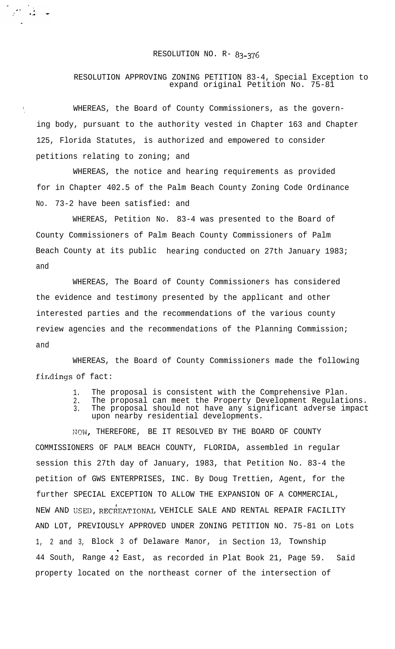## RESOLUTION NO. R- 83-376

المحمد المحمد المحمد المحمد المحمد المحمد المحمد المحمد المحمد المحمد المحمد المحمد المحمد المحمد ال<br>المحمد المحمد المحمد المحمد المحمد المحمد المحمد المحمد المحمد المحمد المحمد المحمد المحمد المحمد المحمد المحم

## RESOLUTION APPROVING ZONING PETITION 83-4, Special Exception to expand original Petition No. 75-81

WHEREAS, the Board of County Commissioners, as the governing body, pursuant to the authority vested in Chapter 163 and Chapter 125, Florida Statutes, is authorized and empowered to consider petitions relating to zoning; and

WHEREAS, the notice and hearing requirements as provided for in Chapter 402.5 of the Palm Beach County Zoning Code Ordinance No. 73-2 have been satisfied: and

WHEREAS, Petition No. 83-4 was presented to the Board of County Commissioners of Palm Beach County Commissioners of Palm Beach County at its public hearing conducted on 27th January 1983; and

WHEREAS, The Board of County Commissioners has considered the evidence and testimony presented by the applicant and other interested parties and the recommendations of the various county review agencies and the recommendations of the Planning Commission; and

WHEREAS, the Board of County Commissioners made the following findings of fact:

- 1. The proposal is consistent with the Comprehensive Plan.
- 2. The proposal can meet the Property Development Regulations. 3. The proposal should not have any significant adverse impact
- upon nearby residential developments.

NOW, THEREFORE, BE IT RESOLVED BY THE BOARD OF COUNTY COMMISSIONERS OF PALM BEACH COUNTY, FLORIDA, assembled in regular session this 27th day of January, 1983, that Petition No. 83-4 the petition of GWS ENTERPRISES, INC. By Doug Trettien, Agent, for the further SPECIAL EXCEPTION TO ALLOW THE EXPANSION OF A COMMERCIAL, NEW AND USED, RECREATIONAL VEHICLE SALE AND RENTAL REPAIR FACILITY AND LOT, PREVIOUSLY APPROVED UNDER ZONING PETITION NO. 75-81 on Lots 1, 2 and 3, Block 3 of Delaware Manor, in Section 13, Township 44 South, Range 42 East, as recorded in Plat Book 21, Page 59. Said property located on the northeast corner of the intersection of